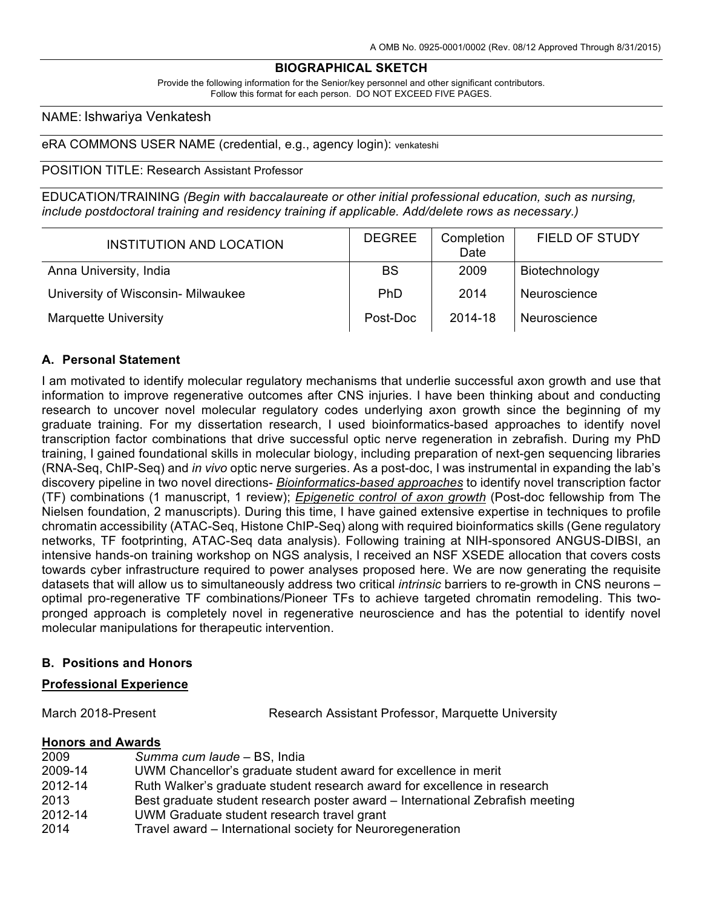## **BIOGRAPHICAL SKETCH**

Provide the following information for the Senior/key personnel and other significant contributors. Follow this format for each person. DO NOT EXCEED FIVE PAGES.

## NAME: Ishwariya Venkatesh

eRA COMMONS USER NAME (credential, e.g., agency login): venkateshi

## POSITION TITLE: Research Assistant Professor

EDUCATION/TRAINING *(Begin with baccalaureate or other initial professional education, such as nursing, include postdoctoral training and residency training if applicable. Add/delete rows as necessary.)*

| INSTITUTION AND LOCATION           | <b>DEGREE</b> | Completion<br>Date | FIELD OF STUDY |
|------------------------------------|---------------|--------------------|----------------|
| Anna University, India             | <b>BS</b>     | 2009               | Biotechnology  |
| University of Wisconsin- Milwaukee | <b>PhD</b>    | 2014               | Neuroscience   |
| <b>Marquette University</b>        | Post-Doc      | 2014-18            | Neuroscience   |

## **A. Personal Statement**

I am motivated to identify molecular regulatory mechanisms that underlie successful axon growth and use that information to improve regenerative outcomes after CNS injuries. I have been thinking about and conducting research to uncover novel molecular regulatory codes underlying axon growth since the beginning of my graduate training. For my dissertation research, I used bioinformatics-based approaches to identify novel transcription factor combinations that drive successful optic nerve regeneration in zebrafish. During my PhD training, I gained foundational skills in molecular biology, including preparation of next-gen sequencing libraries (RNA-Seq, ChIP-Seq) and *in vivo* optic nerve surgeries. As a post-doc, I was instrumental in expanding the lab's discovery pipeline in two novel directions- *Bioinformatics-based approaches* to identify novel transcription factor (TF) combinations (1 manuscript, 1 review); *Epigenetic control of axon growth* (Post-doc fellowship from The Nielsen foundation, 2 manuscripts). During this time, I have gained extensive expertise in techniques to profile chromatin accessibility (ATAC-Seq, Histone ChIP-Seq) along with required bioinformatics skills (Gene regulatory networks, TF footprinting, ATAC-Seq data analysis). Following training at NIH-sponsored ANGUS-DIBSI, an intensive hands-on training workshop on NGS analysis, I received an NSF XSEDE allocation that covers costs towards cyber infrastructure required to power analyses proposed here. We are now generating the requisite datasets that will allow us to simultaneously address two critical *intrinsic* barriers to re-growth in CNS neurons – optimal pro-regenerative TF combinations/Pioneer TFs to achieve targeted chromatin remodeling. This twopronged approach is completely novel in regenerative neuroscience and has the potential to identify novel molecular manipulations for therapeutic intervention.

## **B. Positions and Honors**

#### **Professional Experience**

March 2018-Present **Research Assistant Professor, Marquette University** 

#### **Honors and Awards**

| 2009    | Summa cum laude - BS, India                                                   |
|---------|-------------------------------------------------------------------------------|
| 2009-14 | UWM Chancellor's graduate student award for excellence in merit               |
| 2012-14 | Ruth Walker's graduate student research award for excellence in research      |
| 2013    | Best graduate student research poster award – International Zebrafish meeting |
| 2012-14 | UWM Graduate student research travel grant                                    |
| 2014    | Travel award – International society for Neuroregeneration                    |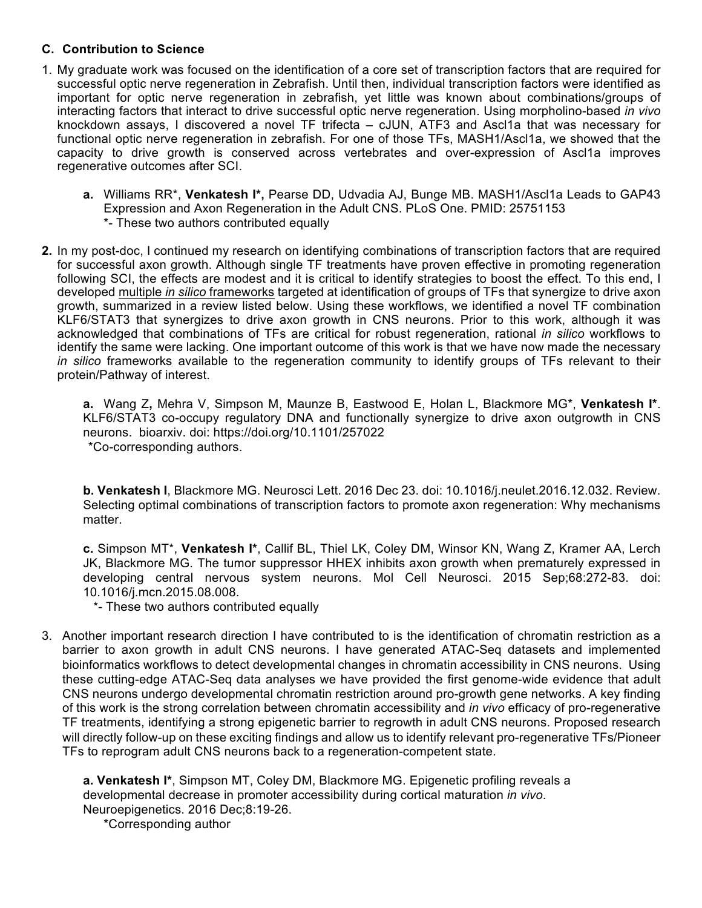# **C. Contribution to Science**

- 1. My graduate work was focused on the identification of a core set of transcription factors that are required for successful optic nerve regeneration in Zebrafish. Until then, individual transcription factors were identified as important for optic nerve regeneration in zebrafish, yet little was known about combinations/groups of interacting factors that interact to drive successful optic nerve regeneration. Using morpholino-based *in vivo* knockdown assays, I discovered a novel TF trifecta – cJUN, ATF3 and Ascl1a that was necessary for functional optic nerve regeneration in zebrafish. For one of those TFs, MASH1/Ascl1a, we showed that the capacity to drive growth is conserved across vertebrates and over-expression of Ascl1a improves regenerative outcomes after SCI.
	- **a.** Williams RR\*, **Venkatesh I\*,** Pearse DD, Udvadia AJ, Bunge MB. MASH1/Ascl1a Leads to GAP43 Expression and Axon Regeneration in the Adult CNS. PLoS One. PMID: 25751153 \*- These two authors contributed equally
- **2.** In my post-doc, I continued my research on identifying combinations of transcription factors that are required for successful axon growth. Although single TF treatments have proven effective in promoting regeneration following SCI, the effects are modest and it is critical to identify strategies to boost the effect. To this end, I developed multiple *in silico* frameworks targeted at identification of groups of TFs that synergize to drive axon growth, summarized in a review listed below. Using these workflows, we identified a novel TF combination KLF6/STAT3 that synergizes to drive axon growth in CNS neurons. Prior to this work, although it was acknowledged that combinations of TFs are critical for robust regeneration, rational *in silico* workflows to identify the same were lacking. One important outcome of this work is that we have now made the necessary *in silico* frameworks available to the regeneration community to identify groups of TFs relevant to their protein/Pathway of interest.

**a.** Wang Z**,** Mehra V, Simpson M, Maunze B, Eastwood E, Holan L, Blackmore MG\*, **Venkatesh I\***. KLF6/STAT3 co-occupy regulatory DNA and functionally synergize to drive axon outgrowth in CNS neurons. bioarxiv. doi: https://doi.org/10.1101/257022 \*Co-corresponding authors.

**b. Venkatesh I**, Blackmore MG. Neurosci Lett. 2016 Dec 23. doi: 10.1016/j.neulet.2016.12.032. Review. Selecting optimal combinations of transcription factors to promote axon regeneration: Why mechanisms matter.

**c.** Simpson MT\*, **Venkatesh I\***, Callif BL, Thiel LK, Coley DM, Winsor KN, Wang Z, Kramer AA, Lerch JK, Blackmore MG. The tumor suppressor HHEX inhibits axon growth when prematurely expressed in developing central nervous system neurons. Mol Cell Neurosci. 2015 Sep;68:272-83. doi: 10.1016/j.mcn.2015.08.008.

\*- These two authors contributed equally

3. Another important research direction I have contributed to is the identification of chromatin restriction as a barrier to axon growth in adult CNS neurons. I have generated ATAC-Seq datasets and implemented bioinformatics workflows to detect developmental changes in chromatin accessibility in CNS neurons. Using these cutting-edge ATAC-Seq data analyses we have provided the first genome-wide evidence that adult CNS neurons undergo developmental chromatin restriction around pro-growth gene networks. A key finding of this work is the strong correlation between chromatin accessibility and *in vivo* efficacy of pro-regenerative TF treatments, identifying a strong epigenetic barrier to regrowth in adult CNS neurons. Proposed research will directly follow-up on these exciting findings and allow us to identify relevant pro-regenerative TFs/Pioneer TFs to reprogram adult CNS neurons back to a regeneration-competent state.

**a. Venkatesh I\***, Simpson MT, Coley DM, Blackmore MG. Epigenetic profiling reveals a developmental decrease in promoter accessibility during cortical maturation *in vivo*. Neuroepigenetics. 2016 Dec;8:19-26.

\*Corresponding author